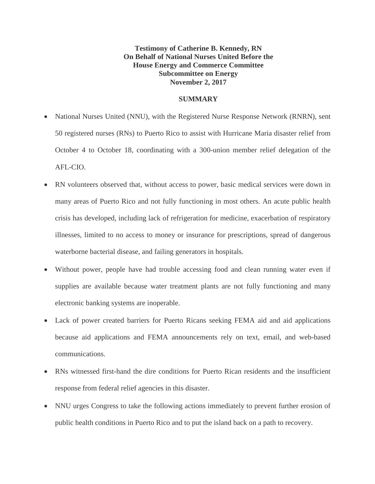**Testimony of Catherine B. Kennedy, RN On Behalf of National Nurses United Before the House Energy and Commerce Committee Subcommittee on Energy November 2, 2017**

### **SUMMARY**

- National Nurses United (NNU), with the Registered Nurse Response Network (RNRN), sent 50 registered nurses (RNs) to Puerto Rico to assist with Hurricane Maria disaster relief from October 4 to October 18, coordinating with a 300-union member relief delegation of the AFL-CIO.
- RN volunteers observed that, without access to power, basic medical services were down in many areas of Puerto Rico and not fully functioning in most others. An acute public health crisis has developed, including lack of refrigeration for medicine, exacerbation of respiratory illnesses, limited to no access to money or insurance for prescriptions, spread of dangerous waterborne bacterial disease, and failing generators in hospitals.
- Without power, people have had trouble accessing food and clean running water even if supplies are available because water treatment plants are not fully functioning and many electronic banking systems are inoperable.
- Lack of power created barriers for Puerto Ricans seeking FEMA aid and aid applications because aid applications and FEMA announcements rely on text, email, and web-based communications.
- RNs witnessed first-hand the dire conditions for Puerto Rican residents and the insufficient response from federal relief agencies in this disaster.
- NNU urges Congress to take the following actions immediately to prevent further erosion of public health conditions in Puerto Rico and to put the island back on a path to recovery.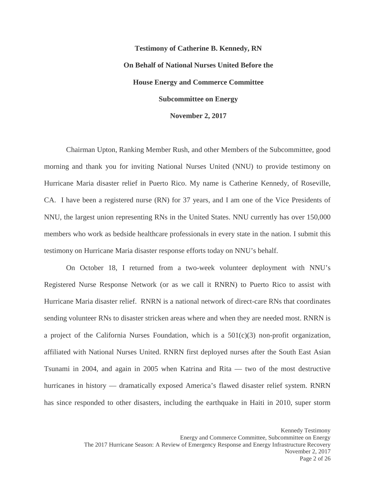## **Testimony of Catherine B. Kennedy, RN On Behalf of National Nurses United Before the House Energy and Commerce Committee Subcommittee on Energy November 2, 2017**

Chairman Upton, Ranking Member Rush, and other Members of the Subcommittee, good morning and thank you for inviting National Nurses United (NNU) to provide testimony on Hurricane Maria disaster relief in Puerto Rico. My name is Catherine Kennedy, of Roseville, CA. I have been a registered nurse (RN) for 37 years, and I am one of the Vice Presidents of NNU, the largest union representing RNs in the United States. NNU currently has over 150,000 members who work as bedside healthcare professionals in every state in the nation. I submit this testimony on Hurricane Maria disaster response efforts today on NNU's behalf.

On October 18, I returned from a two-week volunteer deployment with NNU's Registered Nurse Response Network (or as we call it RNRN) to Puerto Rico to assist with Hurricane Maria disaster relief. RNRN is a national network of direct-care RNs that coordinates sending volunteer RNs to disaster stricken areas where and when they are needed most. RNRN is a project of the California Nurses Foundation, which is a  $501(c)(3)$  non-profit organization, affiliated with National Nurses United. RNRN first deployed nurses after the South East Asian Tsunami in 2004, and again in 2005 when Katrina and Rita — two of the most destructive hurricanes in history — dramatically exposed America's flawed disaster relief system. RNRN has since responded to other disasters, including the earthquake in Haiti in 2010, super storm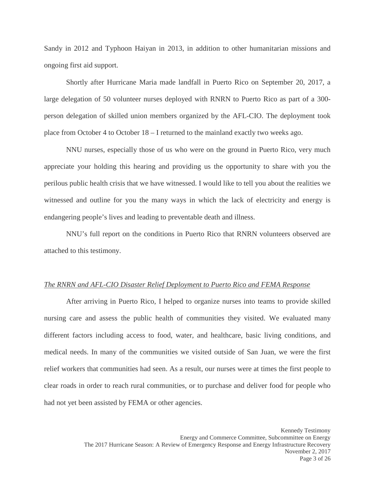Sandy in 2012 and Typhoon Haiyan in 2013, in addition to other humanitarian missions and ongoing first aid support.

Shortly after Hurricane Maria made landfall in Puerto Rico on September 20, 2017, a large delegation of 50 volunteer nurses deployed with RNRN to Puerto Rico as part of a 300 person delegation of skilled union members organized by the AFL-CIO. The deployment took place from October 4 to October 18 – I returned to the mainland exactly two weeks ago.

NNU nurses, especially those of us who were on the ground in Puerto Rico, very much appreciate your holding this hearing and providing us the opportunity to share with you the perilous public health crisis that we have witnessed. I would like to tell you about the realities we witnessed and outline for you the many ways in which the lack of electricity and energy is endangering people's lives and leading to preventable death and illness.

NNU's full report on the conditions in Puerto Rico that RNRN volunteers observed are attached to this testimony.

#### *The RNRN and AFL-CIO Disaster Relief Deployment to Puerto Rico and FEMA Response*

After arriving in Puerto Rico, I helped to organize nurses into teams to provide skilled nursing care and assess the public health of communities they visited. We evaluated many different factors including access to food, water, and healthcare, basic living conditions, and medical needs. In many of the communities we visited outside of San Juan, we were the first relief workers that communities had seen. As a result, our nurses were at times the first people to clear roads in order to reach rural communities, or to purchase and deliver food for people who had not yet been assisted by FEMA or other agencies.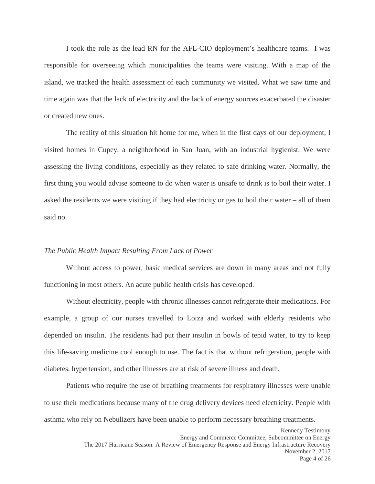I took the role as the lead RN for the AFL-CIO deployment's healthcare teams. I was responsible for overseeing which municipalities the teams were visiting. With a map of the island, we tracked the health assessment of each community we visited. What we saw time and time again was that the lack of electricity and the lack of energy sources exacerbated the disaster or created new ones.

The reality of this situation hit home for me, when in the first days of our deployment, I visited homes in Cupey, a neighborhood in San Juan, with an industrial hygienist. We were assessing the living conditions, especially as they related to safe drinking water. Normally, the first thing you would advise someone to do when water is unsafe to drink is to boil their water. I asked the residents we were visiting if they had electricity or gas to boil their water – all of them said no.

### *The Public Health Impact Resulting From Lack of Power*

Without access to power, basic medical services are down in many areas and not fully functioning in most others. An acute public health crisis has developed.

Without electricity, people with chronic illnesses cannot refrigerate their medications. For example, a group of our nurses travelled to Loiza and worked with elderly residents who depended on insulin. The residents had put their insulin in bowls of tepid water, to try to keep this life-saving medicine cool enough to use. The fact is that without refrigeration, people with diabetes, hypertension, and other illnesses are at risk of severe illness and death.

Patients who require the use of breathing treatments for respiratory illnesses were unable to use their medications because many of the drug delivery devices need electricity. People with asthma who rely on Nebulizers have been unable to perform necessary breathing treatments.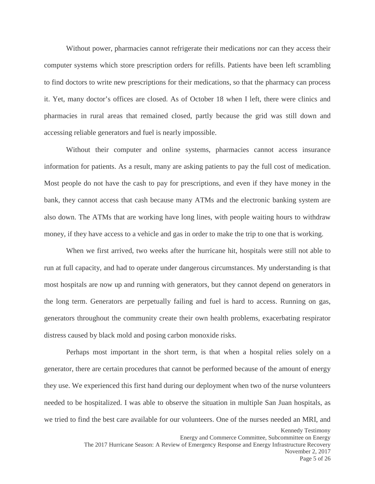Without power, pharmacies cannot refrigerate their medications nor can they access their computer systems which store prescription orders for refills. Patients have been left scrambling to find doctors to write new prescriptions for their medications, so that the pharmacy can process it. Yet, many doctor's offices are closed. As of October 18 when I left, there were clinics and pharmacies in rural areas that remained closed, partly because the grid was still down and accessing reliable generators and fuel is nearly impossible.

Without their computer and online systems, pharmacies cannot access insurance information for patients. As a result, many are asking patients to pay the full cost of medication. Most people do not have the cash to pay for prescriptions, and even if they have money in the bank, they cannot access that cash because many ATMs and the electronic banking system are also down. The ATMs that are working have long lines, with people waiting hours to withdraw money, if they have access to a vehicle and gas in order to make the trip to one that is working.

When we first arrived, two weeks after the hurricane hit, hospitals were still not able to run at full capacity, and had to operate under dangerous circumstances. My understanding is that most hospitals are now up and running with generators, but they cannot depend on generators in the long term. Generators are perpetually failing and fuel is hard to access. Running on gas, generators throughout the community create their own health problems, exacerbating respirator distress caused by black mold and posing carbon monoxide risks.

Perhaps most important in the short term, is that when a hospital relies solely on a generator, there are certain procedures that cannot be performed because of the amount of energy they use. We experienced this first hand during our deployment when two of the nurse volunteers needed to be hospitalized. I was able to observe the situation in multiple San Juan hospitals, as we tried to find the best care available for our volunteers. One of the nurses needed an MRI, and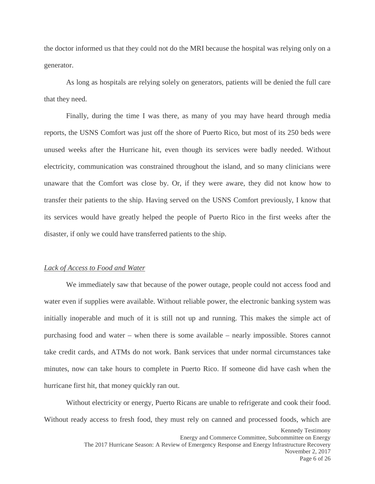the doctor informed us that they could not do the MRI because the hospital was relying only on a generator.

As long as hospitals are relying solely on generators, patients will be denied the full care that they need.

Finally, during the time I was there, as many of you may have heard through media reports, the USNS Comfort was just off the shore of Puerto Rico, but most of its 250 beds were unused weeks after the Hurricane hit, even though its services were badly needed. Without electricity, communication was constrained throughout the island, and so many clinicians were unaware that the Comfort was close by. Or, if they were aware, they did not know how to transfer their patients to the ship. Having served on the USNS Comfort previously, I know that its services would have greatly helped the people of Puerto Rico in the first weeks after the disaster, if only we could have transferred patients to the ship.

### *Lack of Access to Food and Water*

We immediately saw that because of the power outage, people could not access food and water even if supplies were available. Without reliable power, the electronic banking system was initially inoperable and much of it is still not up and running. This makes the simple act of purchasing food and water – when there is some available – nearly impossible. Stores cannot take credit cards, and ATMs do not work. Bank services that under normal circumstances take minutes, now can take hours to complete in Puerto Rico. If someone did have cash when the hurricane first hit, that money quickly ran out.

Without electricity or energy, Puerto Ricans are unable to refrigerate and cook their food. Without ready access to fresh food, they must rely on canned and processed foods, which are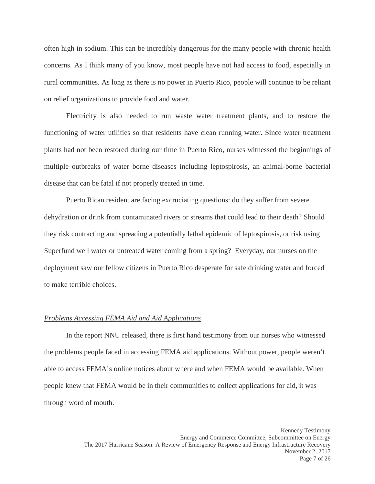often high in sodium. This can be incredibly dangerous for the many people with chronic health concerns. As I think many of you know, most people have not had access to food, especially in rural communities. As long as there is no power in Puerto Rico, people will continue to be reliant on relief organizations to provide food and water.

Electricity is also needed to run waste water treatment plants, and to restore the functioning of water utilities so that residents have clean running water. Since water treatment plants had not been restored during our time in Puerto Rico, nurses witnessed the beginnings of multiple outbreaks of water borne diseases including leptospirosis, an animal-borne bacterial disease that can be fatal if not properly treated in time.

Puerto Rican resident are facing excruciating questions: do they suffer from severe dehydration or drink from contaminated rivers or streams that could lead to their death? Should they risk contracting and spreading a potentially lethal epidemic of leptospirosis, or risk using Superfund well water or untreated water coming from a spring? Everyday, our nurses on the deployment saw our fellow citizens in Puerto Rico desperate for safe drinking water and forced to make terrible choices.

### *Problems Accessing FEMA Aid and Aid Applications*

In the report NNU released, there is first hand testimony from our nurses who witnessed the problems people faced in accessing FEMA aid applications. Without power, people weren't able to access FEMA's online notices about where and when FEMA would be available. When people knew that FEMA would be in their communities to collect applications for aid, it was through word of mouth.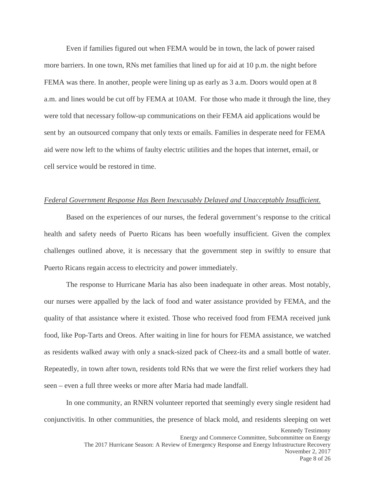Even if families figured out when FEMA would be in town, the lack of power raised more barriers. In one town, RNs met families that lined up for aid at 10 p.m. the night before FEMA was there. In another, people were lining up as early as 3 a.m. Doors would open at 8 a.m. and lines would be cut off by FEMA at 10AM. For those who made it through the line, they were told that necessary follow-up communications on their FEMA aid applications would be sent by an outsourced company that only texts or emails. Families in desperate need for FEMA aid were now left to the whims of faulty electric utilities and the hopes that internet, email, or cell service would be restored in time.

### *Federal Government Response Has Been Inexcusably Delayed and Unacceptably Insufficient.*

Based on the experiences of our nurses, the federal government's response to the critical health and safety needs of Puerto Ricans has been woefully insufficient. Given the complex challenges outlined above, it is necessary that the government step in swiftly to ensure that Puerto Ricans regain access to electricity and power immediately.

The response to Hurricane Maria has also been inadequate in other areas. Most notably, our nurses were appalled by the lack of food and water assistance provided by FEMA, and the quality of that assistance where it existed. Those who received food from FEMA received junk food, like Pop-Tarts and Oreos. After waiting in line for hours for FEMA assistance, we watched as residents walked away with only a snack-sized pack of Cheez-its and a small bottle of water. Repeatedly, in town after town, residents told RNs that we were the first relief workers they had seen – even a full three weeks or more after Maria had made landfall.

In one community, an RNRN volunteer reported that seemingly every single resident had conjunctivitis. In other communities, the presence of black mold, and residents sleeping on wet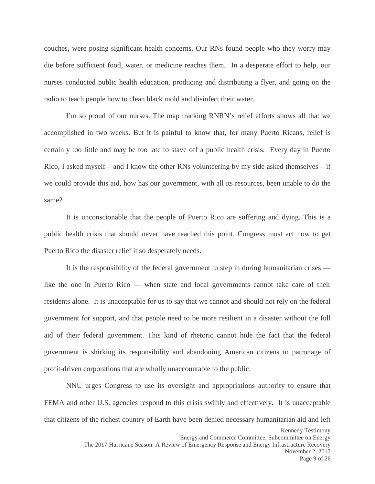<span id="page-8-1"></span><span id="page-8-0"></span>couches, were posing significant health concerns. Our RNs found people who they worry may die before sufficient food, water, or medicine reaches them. In a desperate effort to help, our nurses conducted public health education, producing and distributing a flyer, and going on the radio to teach people how to clean black mold and disinfect their water.

<span id="page-8-5"></span><span id="page-8-4"></span><span id="page-8-3"></span><span id="page-8-2"></span>I'm so proud of our nurses. The map tracking RNRN's relief efforts shows all that we accomplished in two weeks. But it is painful to know that, for many Puerto Ricans, relief is certainly too little and may be too late to stave off a public health crisis. Every day in Puerto Rico, I asked myself – and I know the other RNs volunteering by my side asked themselves – if we could provide this aid, how has our government, with all its resources, been unable to do the same?

<span id="page-8-9"></span><span id="page-8-8"></span><span id="page-8-7"></span><span id="page-8-6"></span>It is unconscionable that the people of Puerto Rico are suffering and dying. This is a public health crisis that should never have reached this point. Congress must act now to get Puerto Rico the disaster relief it so desperately needs.

<span id="page-8-14"></span><span id="page-8-13"></span><span id="page-8-12"></span><span id="page-8-11"></span><span id="page-8-10"></span>It is the responsibility of the federal government to step in during humanitarian crises like the one in Puerto Rico — when state and local governments cannot take care of their residents alone. It is unacceptable for us to say that we cannot and should not rely on the federal government for support, and that people need to be more resilient in a disaster without the full aid of their federal government. This kind of rhetoric cannot hide the fact that the federal government is shirking its responsibility and abandoning American citizens to patronage of profit-driven corporations that are wholly unaccountable to the public.

<span id="page-8-18"></span><span id="page-8-17"></span><span id="page-8-16"></span><span id="page-8-15"></span>NNU urges Congress to use its oversight and appropriations authority to ensure that FEMA and other U.S. agencies respond to this crisis swiftly and effectively. It is unacceptable that citizens of the richest country of Earth have been denied necessary humanitarian aid and left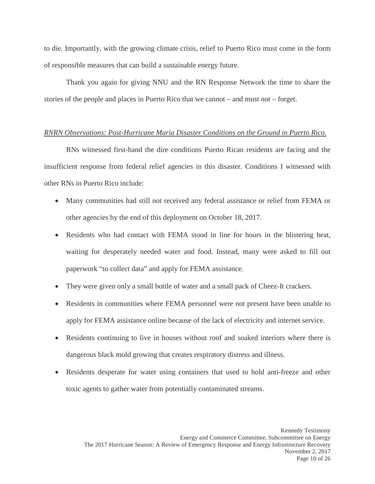<span id="page-9-0"></span>to die. Importantly, with the growing climate crisis, relief to Puerto Rico must come in the form of responsible measures that can build a sustainable energy future.

<span id="page-9-2"></span><span id="page-9-1"></span>Thank you again for giving NNU and the RN Response Network the time to share the stories of the people and places in Puerto Rico that we cannot – and must not – forget.

### <span id="page-9-3"></span>*RNRN Observations: Post-Hurricane Maria Disaster Conditions on the Ground in Puerto Rico.*

<span id="page-9-4"></span>RNs witnessed first-hand the dire conditions Puerto Rican residents are facing and the insufficient response from federal relief agencies in this disaster. Conditions I witnessed with other RNs in Puerto Rico include:

- Many communities had still not received any federal assistance or relief from FEMA or other agencies by the end of this deployment on October 18, 2017.
- Residents who had contact with FEMA stood in line for hours in the blistering heat, waiting for desperately needed water and food. Instead, many were asked to fill out paperwork "to collect data" and apply for FEMA assistance.
- They were given only a small bottle of water and a small pack of Cheez-It crackers.
- Residents in communities where FEMA personnel were not present have been unable to apply for FEMA assistance online because of the lack of electricity and internet service.
- Residents continuing to live in houses without roof and soaked interiors where there is dangerous black mold growing that creates respiratory distress and illness.
- Residents desperate for water using containers that used to hold anti-freeze and other toxic agents to gather water from potentially contaminated streams.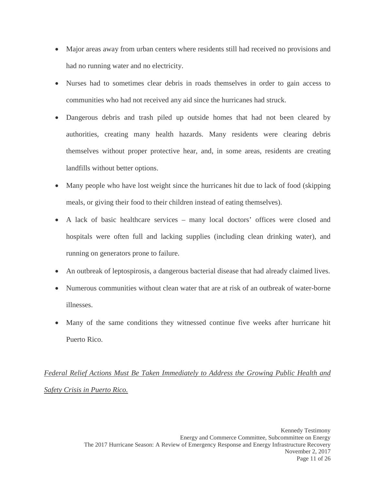- Major areas away from urban centers where residents still had received no provisions and had no running water and no electricity.
- Nurses had to sometimes clear debris in roads themselves in order to gain access to communities who had not received any aid since the hurricanes had struck.
- Dangerous debris and trash piled up outside homes that had not been cleared by authorities, creating many health hazards. Many residents were clearing debris themselves without proper protective hear, and, in some areas, residents are creating landfills without better options.
- Many people who have lost weight since the hurricanes hit due to lack of food (skipping) meals, or giving their food to their children instead of eating themselves).
- A lack of basic healthcare services many local doctors' offices were closed and hospitals were often full and lacking supplies (including clean drinking water), and running on generators prone to failure.
- An outbreak of leptospirosis, a dangerous bacterial disease that had already claimed lives.
- Numerous communities without clean water that are at risk of an outbreak of water-borne illnesses.
- Many of the same conditions they witnessed continue five weeks after hurricane hit Puerto Rico.

### *Federal Relief Actions Must Be Taken Immediately to Address the Growing Public Health and Safety Crisis in Puerto Rico.*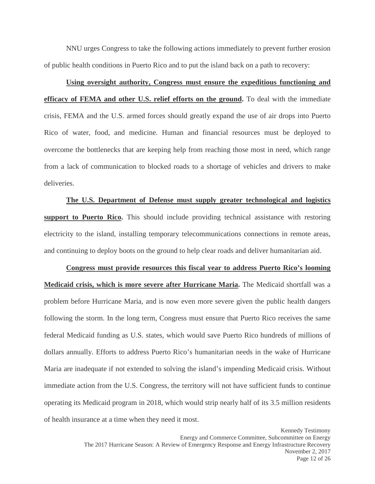NNU urges Congress to take the following actions immediately to prevent further erosion of public health conditions in Puerto Rico and to put the island back on a path to recovery:

# **Using oversight authority, Congress must ensure the expeditious functioning and efficacy of FEMA and other U.S. relief efforts on the ground.** To deal with the immediate crisis, FEMA and the U.S. armed forces should greatly expand the use of air drops into Puerto Rico of water, food, and medicine. Human and financial resources must be deployed to overcome the bottlenecks that are keeping help from reaching those most in need, which range from a lack of communication to blocked roads to a shortage of vehicles and drivers to make deliveries.

**The U.S. Department of Defense must supply greater technological and logistics support to Puerto Rico.** This should include providing technical assistance with restoring electricity to the island, installing temporary telecommunications connections in remote areas, and continuing to deploy boots on the ground to help clear roads and deliver humanitarian aid.

**Congress must provide resources this fiscal year to address Puerto Rico's looming Medicaid crisis, which is more severe after Hurricane Maria.** The Medicaid shortfall was a problem before Hurricane Maria, and is now even more severe given the public health dangers following the storm. In the long term, Congress must ensure that Puerto Rico receives the same federal Medicaid funding as U.S. states, which would save Puerto Rico hundreds of millions of dollars annually. Efforts to address Puerto Rico's humanitarian needs in the wake of Hurricane Maria are inadequate if not extended to solving the island's impending Medicaid crisis. Without immediate action from the U.S. Congress, the territory will not have sufficient funds to continue operating its Medicaid program in 2018, which would strip nearly half of its 3.5 million residents of health insurance at a time when they need it most.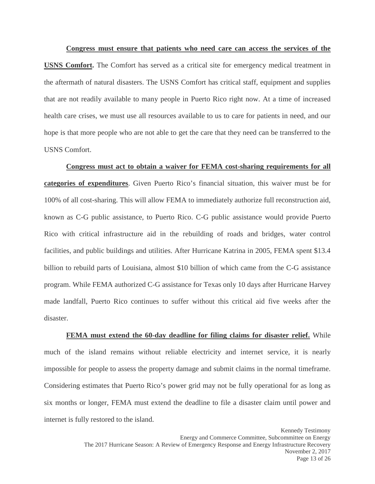**Congress must ensure that patients who need care can access the services of the USNS Comfort.** The Comfort has served as a critical site for emergency medical treatment in the aftermath of natural disasters. The USNS Comfort has critical staff, equipment and supplies that are not readily available to many people in Puerto Rico right now. At a time of increased health care crises, we must use all resources available to us to care for patients in need, and our hope is that more people who are not able to get the care that they need can be transferred to the USNS Comfort.

**Congress must act to obtain a waiver for FEMA cost-sharing requirements for all categories of expenditures**. Given Puerto Rico's financial situation, this waiver must be for 100% of all cost-sharing. This will allow FEMA to immediately authorize full reconstruction aid, known as C-G public assistance, to Puerto Rico. C-G public assistance would provide Puerto Rico with critical infrastructure aid in the rebuilding of roads and bridges, water control facilities, and public buildings and utilities. After Hurricane Katrina in 2005, FEMA spent \$13.4 billion to rebuild parts of Louisiana, almost \$10 billion of which came from the C-G assistance program. While FEMA authorized C-G assistance for Texas only 10 days after Hurricane Harvey made landfall, Puerto Rico continues to suffer without this critical aid five weeks after the disaster.

**FEMA must extend the 60-day deadline for filing claims for disaster relief.** While much of the island remains without reliable electricity and internet service, it is nearly impossible for people to assess the property damage and submit claims in the normal timeframe. Considering estimates that Puerto Rico's power grid may not be fully operational for as long as six months or longer, FEMA must extend the deadline to file a disaster claim until power and internet is fully restored to the island.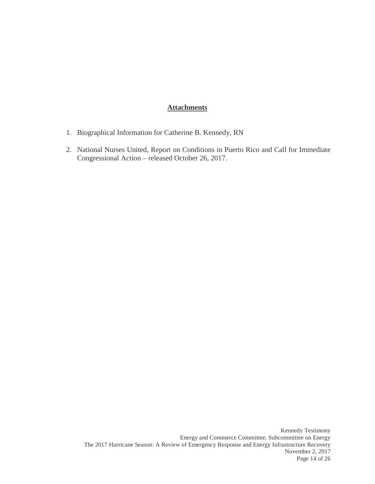### **Attachments**

- 1. Biographical Information for Catherine B. Kennedy, RN
- 2. National Nurses United, Report on Conditions in Puerto Rico and Call for Immediate Congressional Action – released October 26, 2017.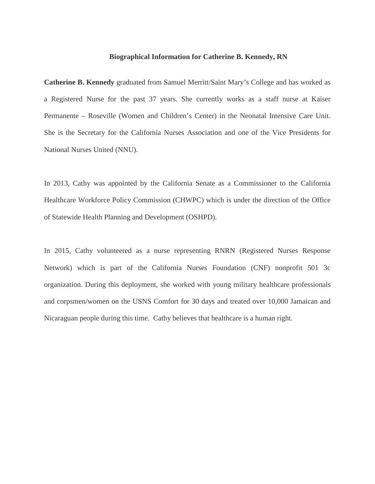### **Biographical Information for Catherine B. Kennedy, RN**

**Catherine B. Kennedy** graduated from Samuel Merritt/Saint Mary's College and has worked as a Registered Nurse for the past 37 years. She currently works as a staff nurse at Kaiser Permanente – Roseville (Women and Children's Center) in the Neonatal Intensive Care Unit. She is the Secretary for the California Nurses Association and one of the Vice Presidents for National Nurses United (NNU).

In 2013, Cathy was appointed by the California Senate as a Commissioner to the California Healthcare Workforce Policy Commission (CHWPC) which is under the direction of the Office of Statewide Health Planning and Development (OSHPD).

In 2015, Cathy volunteered as a nurse representing RNRN (Registered Nurses Response Network) which is part of the California Nurses Foundation (CNF) nonprofit 501 3c organization. During this deployment, she worked with young military healthcare professionals and corpsmen/women on the USNS Comfort for 30 days and treated over 10,000 Jamaican and Nicaraguan people during this time. Cathy believes that healthcare is a human right.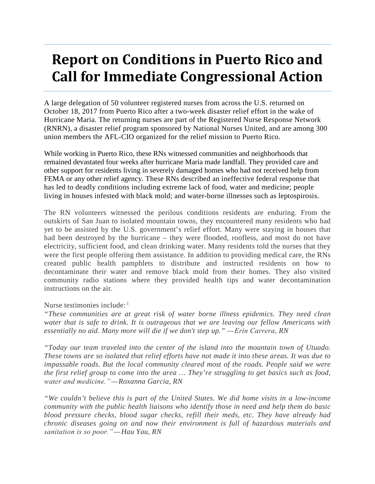# **Report on Conditions in Puerto Rico and Call for Immediate Congressional Action**

A large delegation of 50 volunteer registered nurses from across the U.S. returned on October 18, 2017 from Puerto Rico after a two-week disaster relief effort in the wake of Hurricane Maria. The returning nurses are part of the Registered Nurse Response Network (RNRN), a disaster relief program sponsored by National Nurses United, and are among 300 union members the AFL-CIO organized for the relief mission to Puerto Rico.

While working in Puerto Rico, these RNs witnessed communities and neighborhoods that remained devastated four weeks after hurricane Maria made landfall. They provided care and other support for residents living in severely damaged homes who had not received help from FEMA or any other relief agency. These RNs described an ineffective federal response that has led to deadly conditions including extreme lack of food, water and medicine; people living in houses infested with black mold; and water-borne illnesses such as leptospirosis.

The RN volunteers witnessed the perilous conditions residents are enduring. From the outskirts of San Juan to isolated mountain towns, they encountered many residents who had yet to be assisted by the U.S. government's relief effort. Many were staying in houses that had been destroyed by the hurricane – they were flooded, roofless, and most do not have electricity, sufficient food, and clean drinking water. Many residents told the nurses that they were the first people offering them assistance. In addition to providing medical care, the RNs created public health pamphlets to distribute and instructed residents on how to decontaminate their water and remove black mold from their homes. They also visited community radio stations where they provided health tips and water decontamination instructions on the air.

Nurse testimonies include: [i](#page-8-0)

*"These communities are at great risk of water borne illness epidemics. They need clean water that is safe to drink. It is outrageous that we are leaving our fellow Americans with essentially no aid. Many more will die if we don't step up." — Erin Carrera, RN*

*"Today our team traveled into the center of the island into the mountain town of Utuado. These towns are so isolated that relief efforts have not made it into these areas. It was due to impassable roads. But the local community cleared most of the roads. People said we were the first relief group to come into the area … They're struggling to get basics such as food, water and medicine." —Roxanna Garcia, RN*

*"We couldn't believe this is part of the United States. We did home visits in a low-income community with the public health liaisons who identify those in need and help them do basic blood pressure checks, blood sugar checks, refill their meds, etc. They have already had chronic diseases going on and now their environment is full of hazardous materials and sanitation is so poor." —Hau Yau, RN*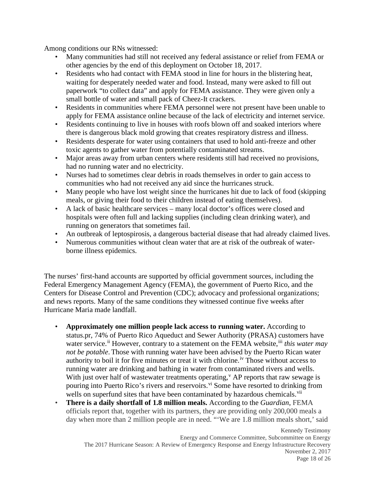Among conditions our RNs witnessed:

- Many communities had still not received any federal assistance or relief from FEMA or other agencies by the end of this deployment on October 18, 2017.
- Residents who had contact with FEMA stood in line for hours in the blistering heat, waiting for desperately needed water and food. Instead, many were asked to fill out paperwork "to collect data" and apply for FEMA assistance. They were given only a small bottle of water and small pack of Cheez-It crackers.
- Residents in communities where FEMA personnel were not present have been unable to apply for FEMA assistance online because of the lack of electricity and internet service.
- Residents continuing to live in houses with roofs blown off and soaked interiors where there is dangerous black mold growing that creates respiratory distress and illness.
- Residents desperate for water using containers that used to hold anti-freeze and other toxic agents to gather water from potentially contaminated streams.
- Major areas away from urban centers where residents still had received no provisions, had no running water and no electricity.
- Nurses had to sometimes clear debris in roads themselves in order to gain access to communities who had not received any aid since the hurricanes struck.
- Many people who have lost weight since the hurricanes hit due to lack of food (skipping meals, or giving their food to their children instead of eating themselves).
- A lack of basic healthcare services many local doctor's offices were closed and hospitals were often full and lacking supplies (including clean drinking water), and running on generators that sometimes fail.
- An outbreak of leptospirosis, a dangerous bacterial disease that had already claimed lives.
- Numerous communities without clean water that are at risk of the outbreak of waterborne illness epidemics.

The nurses' first-hand accounts are supported by official government sources, including the Federal Emergency Management Agency (FEMA), the government of Puerto Rico, and the Centers for Disease Control and Prevention (CDC); advocacy and professional organizations; and news reports. Many of the same conditions they witnessed continue five weeks after Hurricane Maria made landfall.

- **Approximately one million people lack access to running water.** According to status.pr, 74% of Puerto Rico Aqueduct and Sewer Authority (PRASA) customers have water service.<sup>[ii](#page-8-1)</sup> However, contrary to a statement on the FEMA website.<sup>[iii](#page-8-2)</sup> *this water may not be potable*. Those with running water have been advised by the Puerto Rican water authority to boil it for five minutes or treat it with chlorine. [iv](#page-8-3) Those without access to running water are drinking and bathing in water from contaminated rivers and wells. With just o[v](#page-8-4)er half of wastewater treatments operating,  $V$  AP reports that raw sewage is pouring into Puerto Rico's rivers and reservoirs. <sup>[vi](#page-8-5)</sup> Some have resorted to drinking from wells on superfund sites that have been contaminated by hazardous chemicals.<sup>[vii](#page-8-6)</sup>
- **There is a daily shortfall of 1.8 million meals.** According to the *Guardian*, FEMA officials report that, together with its partners, they are providing only 200,000 meals a day when more than 2 million people are in need. "'We are 1.8 million meals short,' said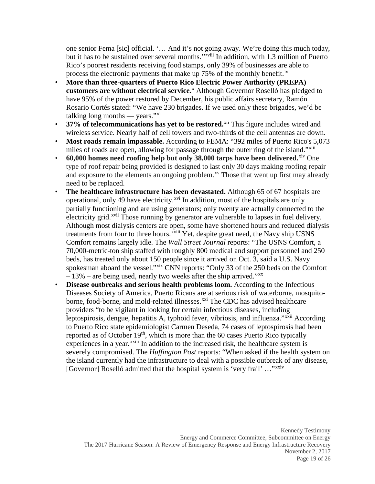one senior Fema [sic] official. '… And it's not going away. We're doing this much today, but it has to be sustained over several months.'"<sup>[viii](#page-8-7)</sup> In addition, with 1.3 million of Puerto Rico's poorest residents receiving food stamps, only 39% of businesses are able to process the electronic payments that make up 75% of the monthly benefit.<sup>[ix](#page-8-8)</sup>

- **More than three-quarters of Puerto Rico Electric Power Authority (PREPA) customers are without electrical service.**[x](#page-8-9) Although Governor Roselló has pledged to have 95% of the power restored by December, his public affairs secretary, Ramón Rosario Cortés stated: "We have 230 brigades. If we used only these brigades, we'd be talking long months — years." $\frac{x}{i}$
- **37% of telecommunications has yet to be restored.**[xii](#page-8-11) This figure includes wired and wireless service. Nearly half of cell towers and two-thirds of the cell antennas are down.
- **Most roads remain impassable.** According to FEMA: "392 miles of Puerto Rico's 5,073 miles of roads are open, allowing for passage through the outer ring of the island."<sup>[xiii](#page-8-12)</sup>
- **60,000 homes need roofing help but only 38,000 tarps have been delivered.** [xiv](#page-8-13) One type of roof repair being provided is designed to last only 30 days making roofing repair and exposure to the elements an ongoing problem.<sup>[xv](#page-8-14)</sup> Those that went up first may already need to be replaced.
- **The healthcare infrastructure has been devastated.** Although 65 of 67 hospitals are operational, only 49 have electricity.<sup>[xvi](#page-8-15)</sup> In addition, most of the hospitals are only treatments from four to three hours. XVIII Yet, despite great need, the Navy ship USNS partially functioning and are using generators; only twenty are actually connected to the electricity grid.<sup>[xvii](#page-8-16)</sup> Those running by generator are vulnerable to lapses in fuel delivery. Although most dialysis centers are ope[n](#page-8-17), some have shortened hours and reduced dialysis Comfort remains largely idle. The *Wall Street Journal* reports: "The USNS Comfort, a 70,000-metric-ton ship staffed with roughly 800 medical and support personnel and 250 beds, has treated only about 150 people since it arrived on Oct. 3, said a U.S. Navy spokesman aboard the vessel."[xix](#page-8-18) CNN reports: "Only 33 of the 250 beds on the Comfort  $-13%$  – are being used, nearly two weeks after the ship arrived."<sup>[xx](#page-9-0)</sup>
- **Disease outbreaks and serious health problems loom.** According to the Infectious Diseases Society of America, Puerto Ricans are at serious risk of waterborne, mosquitoborne, food-borne, and mold-related illnesses.<sup>[xxi](#page-9-1)</sup> The CDC has advised healthcare experiences in a year.<sup>xxiii</sup> In addition to the increased risk, the healthcare system is providers "to be vigilant in looking for certain infectious diseases, including leptospirosis, dengue, hepatitis A, typhoid fever, vibriosis, and influenza."<sup>[xxii](#page-9-2)</sup> According to Puerto Rico state epidemiologist Carmen Deseda, 74 cases of leptospirosis had been reported as of October 1[9](#page-9-3)<sup>th</sup>, which is more than the 60 cases Puerto Rico typically severely compromised. The *Huffington Post* reports: "When asked if the health system on the island currently had the infrastructure to deal with a possible outbreak of any disease, [Governor] Roselló admitted that the hospital system is 'very frail' ..."<sup>[xxiv](#page-9-4)</sup>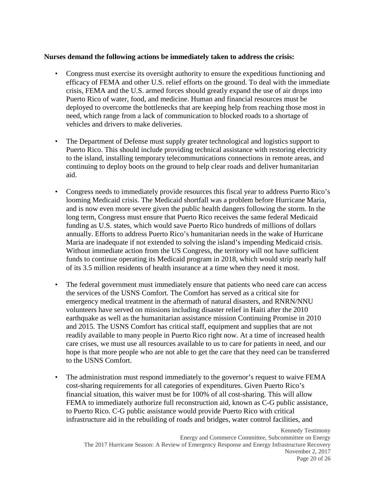### **Nurses demand the following actions be immediately taken to address the crisis:**

- Congress must exercise its oversight authority to ensure the expeditious functioning and efficacy of FEMA and other U.S. relief efforts on the ground. To deal with the immediate crisis, FEMA and the U.S. armed forces should greatly expand the use of air drops into Puerto Rico of water, food, and medicine. Human and financial resources must be deployed to overcome the bottlenecks that are keeping help from reaching those most in need, which range from a lack of communication to blocked roads to a shortage of vehicles and drivers to make deliveries.
- The Department of Defense must supply greater technological and logistics support to Puerto Rico. This should include providing technical assistance with restoring electricity to the island, installing temporary telecommunications connections in remote areas, and continuing to deploy boots on the ground to help clear roads and deliver humanitarian aid.
- Congress needs to immediately provide resources this fiscal year to address Puerto Rico's looming Medicaid crisis. The Medicaid shortfall was a problem before Hurricane Maria, and is now even more severe given the public health dangers following the storm. In the long term, Congress must ensure that Puerto Rico receives the same federal Medicaid funding as U.S. states, which would save Puerto Rico hundreds of millions of dollars annually. Efforts to address Puerto Rico's humanitarian needs in the wake of Hurricane Maria are inadequate if not extended to solving the island's impending Medicaid crisis. Without immediate action from the US Congress, the territory will not have sufficient funds to continue operating its Medicaid program in 2018, which would strip nearly half of its 3.5 million residents of health insurance at a time when they need it most.
- The federal government must immediately ensure that patients who need care can access the services of the USNS Comfort. The Comfort has served as a critical site for emergency medical treatment in the aftermath of natural disasters, and RNRN/NNU volunteers have served on missions including disaster relief in Haiti after the 2010 earthquake as well as the humanitarian assistance mission Continuing Promise in 2010 and 2015. The USNS Comfort has critical staff, equipment and supplies that are not readily available to many people in Puerto Rico right now. At a time of increased health care crises, we must use all resources available to us to care for patients in need, and our hope is that more people who are not able to get the care that they need can be transferred to the USNS Comfort.
- The administration must respond immediately to the governor's request to waive FEMA cost-sharing requirements for all categories of expenditures. Given Puerto Rico's financial situation, this waiver must be for 100% of all cost-sharing. This will allow FEMA to immediately authorize full reconstruction aid, known as C-G public assistance, to Puerto Rico. C-G public assistance would provide Puerto Rico with critical infrastructure aid in the rebuilding of roads and bridges, water control facilities, and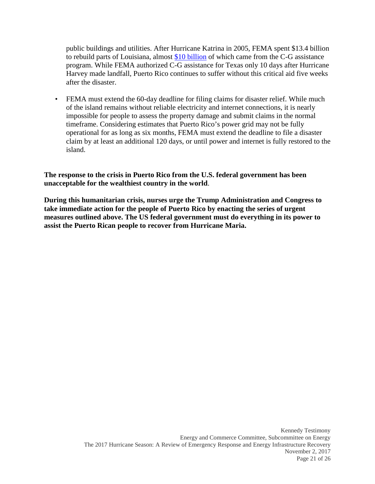public buildings and utilities. After Hurricane Katrina in 2005, FEMA spent \$13.4 billion to rebuild parts of Louisiana, almost [\\$10 billion](https://www.vox.com/policy-and-politics/2017/10/3/16400510/fema-puerto-rico-hurricane) of which came from the C-G assistance program. While FEMA authorized C-G assistance for Texas only 10 days after Hurricane Harvey made landfall, Puerto Rico continues to suffer without this critical aid five weeks after the disaster.

• FEMA must extend the 60-day deadline for filing claims for disaster relief. While much of the island remains without reliable electricity and internet connections, it is nearly impossible for people to assess the property damage and submit claims in the normal timeframe. Considering estimates that Puerto Rico's power grid may not be fully operational for as long as six months, FEMA must extend the deadline to file a disaster claim by at least an additional 120 days, or until power and internet is fully restored to the island.

**The response to the crisis in Puerto Rico from the U.S. federal government has been unacceptable for the wealthiest country in the world**.

**During this humanitarian crisis, nurses urge the Trump Administration and Congress to take immediate action for the people of Puerto Rico by enacting the series of urgent measures outlined above. The US federal government must do everything in its power to assist the Puerto Rican people to recover from Hurricane Maria.**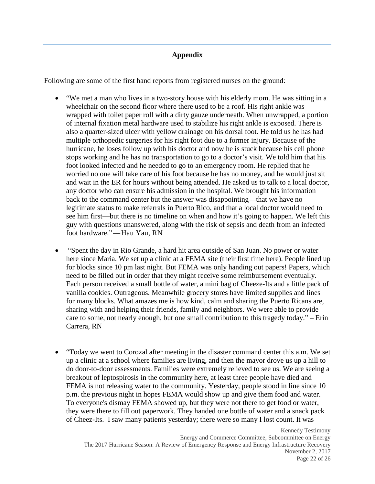### **Appendix**

Following are some of the first hand reports from registered nurses on the ground:

- "We met a man who lives in a two-story house with his elderly mom. He was sitting in a wheelchair on the second floor where there used to be a roof. His right ankle was wrapped with toilet paper roll with a dirty gauze underneath. When unwrapped, a portion of internal fixation metal hardware used to stabilize his right ankle is exposed. There is also a quarter-sized ulcer with yellow drainage on his dorsal foot. He told us he has had multiple orthopedic surgeries for his right foot due to a former injury. Because of the hurricane, he loses follow up with his doctor and now he is stuck because his cell phone stops working and he has no transportation to go to a doctor's visit. We told him that his foot looked infected and he needed to go to an emergency room. He replied that he worried no one will take care of his foot because he has no money, and he would just sit and wait in the ER for hours without being attended. He asked us to talk to a local doctor, any doctor who can ensure his admission in the hospital. We brought his information back to the command center but the answer was disappointing—that we have no legitimate status to make referrals in Puerto Rico, and that a local doctor would need to see him first—but there is no timeline on when and how it's going to happen. We left this guy with questions unanswered, along with the risk of sepsis and death from an infected foot hardware."—Hau Yau, RN
- "Spent the day in Rio Grande, a hard hit area outside of San Juan. No power or water here since Maria. We set up a clinic at a FEMA site (their first time here). People lined up for blocks since 10 pm last night. But FEMA was only handing out papers! Papers, which need to be filled out in order that they might receive some reimbursement eventually. Each person received a small bottle of water, a mini bag of Cheeze-Its and a little pack of vanilla cookies. Outrageous. Meanwhile grocery stores have limited supplies and lines for many blocks. What amazes me is how kind, calm and sharing the Puerto Ricans are, sharing with and helping their friends, family and neighbors. We were able to provide care to some, not nearly enough, but one small contribution to this tragedy today." – Erin Carrera, RN
- "Today we went to Corozal after meeting in the disaster command center this a.m. We set up a clinic at a school where families are living, and then the mayor drove us up a hill to do door-to-door assessments. Families were extremely relieved to see us. We are seeing a breakout of leptospirosis in the community here, at least three people have died and FEMA is not releasing water to the community. Yesterday, people stood in line since 10 p.m. the previous night in hopes FEMA would show up and give them food and water. To everyone's dismay FEMA showed up, but they were not there to get food or water, they were there to fill out paperwork. They handed one bottle of water and a snack pack of Cheez-Its. I saw many patients yesterday; there were so many I lost count. It was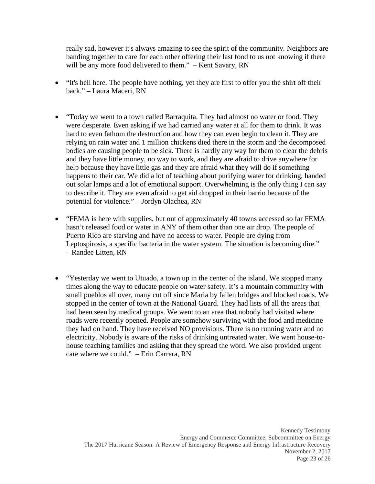really sad, however it's always amazing to see the spirit of the community. Neighbors are banding together to care for each other offering their last food to us not knowing if there will be any more food delivered to them." – Kent Savary, RN

- "It's hell here. The people have nothing, yet they are first to offer you the shirt off their back." – Laura Maceri, RN
- "Today we went to a town called Barraquita. They had almost no water or food. They were desperate. Even asking if we had carried any water at all for them to drink. It was hard to even fathom the destruction and how they can even begin to clean it. They are relying on rain water and 1 million chickens died there in the storm and the decomposed bodies are causing people to be sick. There is hardly any way for them to clear the debris and they have little money, no way to work, and they are afraid to drive anywhere for help because they have little gas and they are afraid what they will do if something happens to their car. We did a lot of teaching about purifying water for drinking, handed out solar lamps and a lot of emotional support. Overwhelming is the only thing I can say to describe it. They are even afraid to get aid dropped in their barrio because of the potential for violence." – Jordyn Olachea, RN
- "FEMA is here with supplies, but out of approximately 40 towns accessed so far FEMA hasn't released food or water in ANY of them other than one air drop. The people of Puerto Rico are starving and have no access to water. People are dying from Leptospirosis, a specific bacteria in the water system. The situation is becoming dire." – Randee Litten, RN
- "Yesterday we went to Utuado, a town up in the center of the island. We stopped many times along the way to educate people on water safety. It's a mountain community with small pueblos all over, many cut off since Maria by fallen bridges and blocked roads. We stopped in the center of town at the National Guard. They had lists of all the areas that had been seen by medical groups. We went to an area that nobody had visited where roads were recently opened. People are somehow surviving with the food and medicine they had on hand. They have received NO provisions. There is no running water and no electricity. Nobody is aware of the risks of drinking untreated water. We went house-tohouse teaching families and asking that they spread the word. We also provided urgent care where we could." – Erin Carrera, RN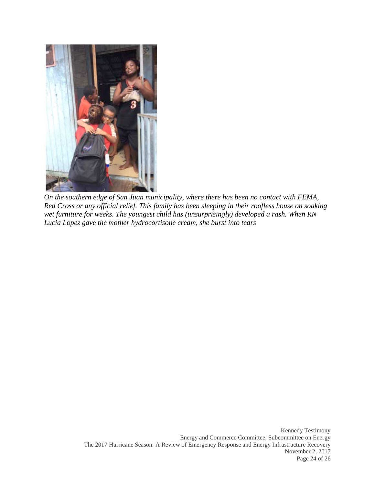

*On the southern edge of San Juan municipality, where there has been no contact with FEMA, Red Cross or any official relief. This family has been sleeping in their roofless house on soaking wet furniture for weeks. The youngest child has (unsurprisingly) developed a rash. When RN Lucia Lopez gave the mother hydrocortisone cream, she burst into tears*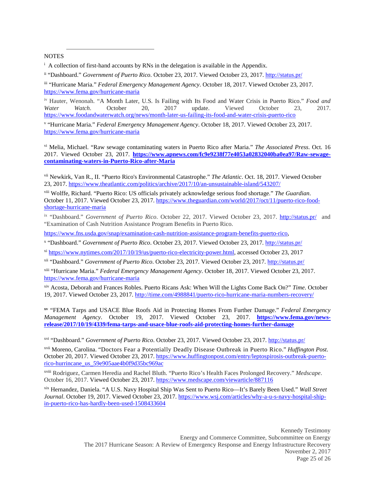**NOTES** 

 $\overline{a}$ 

<sup>i</sup> A collection of first-hand accounts by RNs in the delegation is available in the Appendix.

ii "Dashboard." *Government of Puerto Rico*. October 23, 2017. Viewed October 23, 2017. <http://status.pr/>

iii "Hurricane Maria." *Federal Emergency Management Agency*. October 18, 2017. Viewed October 23, 2017. <https://www.fema.gov/hurricane-maria>

iv Hauter, Wenonah. "A Month Later, U.S. Is Failing with Its Food and Water Crisis in Puerto Rico." *Food and Water Watch*. October 20, 2017 update. Viewed October 23, 2017. <https://www.foodandwaterwatch.org/news/month-later-us-failing-its-food-and-water-crisis-puerto-rico>

<sup>v</sup> "Hurricane Maria." *Federal Emergency Management Agency*. October 18, 2017. Viewed October 23, 2017. <https://www.fema.gov/hurricane-maria>

vi Melia, Michael. "Raw sewage contaminating waters in Puerto Rico after Maria." *The Associated Press*. Oct. 16 2017. Viewed October 23, 2017. **[https://www.apnews.com/fc9e9238f77e4053a02832040ba0ea97/Raw-sewage](https://www.apnews.com/fc9e9238f77e4053a02832040ba0ea97/Raw-sewage-contaminating-waters-in-Puerto-Rico-after-Maria)[contaminating-waters-in-Puerto-Rico-after-Maria](https://www.apnews.com/fc9e9238f77e4053a02832040ba0ea97/Raw-sewage-contaminating-waters-in-Puerto-Rico-after-Maria)**

vii Newkirk, Van R., II. "Puerto Rico's Environmental Catastrophe." *The Atlantic*. Oct. 18, 2017. Viewed October 23, 2017.<https://www.theatlantic.com/politics/archive/2017/10/an-unsustainable-island/543207/>

viii Wolffe, Richard. "Puerto Rico: US officials privately acknowledge serious food shortage." *The Guardian*. October 11, 2017. Viewed October 23, 2017. [https://www.theguardian.com/world/2017/oct/11/puerto-rico-food](https://www.theguardian.com/world/2017/oct/11/puerto-rico-food-shortage-hurricane-maria)[shortage-hurricane-maria](https://www.theguardian.com/world/2017/oct/11/puerto-rico-food-shortage-hurricane-maria)

ix "Dashboard." *Government of Puerto Rico*. October 22, 2017. Viewed October 23, 2017. <http://status.pr/>and "Examination of Cash Nutrition Assistance Program Benefits in Puerto Rico.

[https://www.fns.usda.gov/snap/examination-cash-nutrition-assistance-program-benefits-puerto-rico,](https://www.fns.usda.gov/snap/examination-cash-nutrition-assistance-program-benefits-puerto-rico)

<sup>x</sup> "Dashboard." *Government of Puerto Rico*. October 23, 2017. Viewed October 23, 2017. <http://status.pr/>

xi [https://www.nytimes.com/2017/10/19/us/puerto-rico-electricity-power.html,](https://www.nytimes.com/2017/10/19/us/puerto-rico-electricity-power.html) accessed October 23, 2017

xii "Dashboard." *Government of Puerto Rico*. October 23, 2017. Viewed October 23, 2017. <http://status.pr/>

xiii "Hurricane Maria." *Federal Emergency Management Agency*. October 18, 2017. Viewed October 23, 2017. <https://www.fema.gov/hurricane-maria>

xiv Acosta, Deborah and Frances Robles. Puerto Ricans Ask: When Will the Lights Come Back On?" *Time*. October 19, 2017. Viewed October 23, 2017.<http://time.com/4988841/puerto-rico-hurricane-maria-numbers-recovery/>

**xv** "FEMA Tarps and USACE Blue Roofs Aid in Protecting Homes From Further Damage." *Federal Emergency Management Agency*. October 19, 2017. Viewed October 23, 2017. **[https://www.fema.gov/news](https://www.fema.gov/news-release/2017/10/19/4339/fema-tarps-and-usace-blue-roofs-aid-protecting-homes-further-damage)[release/2017/10/19/4339/fema-tarps-and-usace-blue-roofs-aid-protecting-homes-further-damage](https://www.fema.gov/news-release/2017/10/19/4339/fema-tarps-and-usace-blue-roofs-aid-protecting-homes-further-damage)**

xvi "Dashboard." *Government of Puerto Rico*. October 23, 2017. Viewed October 23, 2017. <http://status.pr/>

xvii Moreno, Carolina. "Doctors Fear a Potentially Deadly Disease Outbreak in Puerto Rico." *Huffington Post*. October 20, 2017. Viewed October 23, 2017. [https://www.huffingtonpost.com/entry/leptospirosis-outbreak-puerto](https://www.huffingtonpost.com/entry/leptospirosis-outbreak-puerto-rico-hurrincane_us_59e905aae4b0f9d35bc969ac)[rico-hurrincane\\_us\\_59e905aae4b0f9d35bc969ac](https://www.huffingtonpost.com/entry/leptospirosis-outbreak-puerto-rico-hurrincane_us_59e905aae4b0f9d35bc969ac)

xviii Rodriguez, Carmen Heredia and Rachel Bluth. "Puerto Rico's Health Faces Prolonged Recovery." *Medscape*. October 16, 2017. Viewed October 23, 2017. <https://www.medscape.com/viewarticle/887116>

xix Hernandez, Daniela. "A U.S. Navy Hospital Ship Was Sent to Puerto Rico—It's Barely Been Used." *Wall Street Journal*. October 19, 2017. Viewed October 23, 2017. [https://www.wsj.com/articles/why-a-u-s-navy-hospital-ship](https://www.wsj.com/articles/why-a-u-s-navy-hospital-ship-in-puerto-rico-has-hardly-been-used-1508433604)[in-puerto-rico-has-hardly-been-used-1508433604](https://www.wsj.com/articles/why-a-u-s-navy-hospital-ship-in-puerto-rico-has-hardly-been-used-1508433604)